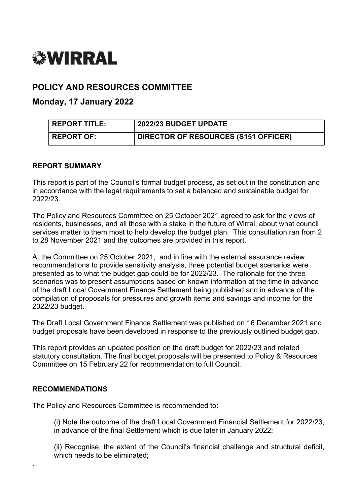

# **POLICY AND RESOURCES COMMITTEE**

**Monday, 17 January 2022**

| <b>REPORT TITLE:</b> | $^\circ$ 2022/23 BUDGET UPDATE       |
|----------------------|--------------------------------------|
| <b>REPORT OF:</b>    | DIRECTOR OF RESOURCES (S151 OFFICER) |

## **REPORT SUMMARY**

This report is part of the Council's formal budget process, as set out in the constitution and in accordance with the legal requirements to set a balanced and sustainable budget for 2022/23.

The Policy and Resources Committee on 25 October 2021 agreed to ask for the views of residents, businesses, and all those with a stake in the future of Wirral, about what council services matter to them most to help develop the budget plan. This consultation ran from 2 to 28 November 2021 and the outcomes are provided in this report.

At the Committee on 25 October 2021, and in line with the external assurance review recommendations to provide sensitivity analysis, three potential budget scenarios were presented as to what the budget gap could be for 2022/23. The rationale for the three scenarios was to present assumptions based on known information at the time in advance of the draft Local Government Finance Settlement being published and in advance of the compilation of proposals for pressures and growth items and savings and income for the 2022/23 budget.

The Draft Local Government Finance Settlement was published on 16 December 2021 and budget proposals have been developed in response to the previously outlined budget gap.

This report provides an updated position on the draft budget for 2022/23 and related statutory consultation. The final budget proposals will be presented to Policy & Resources Committee on 15 February 22 for recommendation to full Council.

#### **RECOMMENDATIONS**

.

The Policy and Resources Committee is recommended to:

(i) Note the outcome of the draft Local Government Financial Settlement for 2022/23, in advance of the final Settlement which is due later in January 2022;

(ii) Recognise, the extent of the Council's financial challenge and structural deficit, which needs to be eliminated: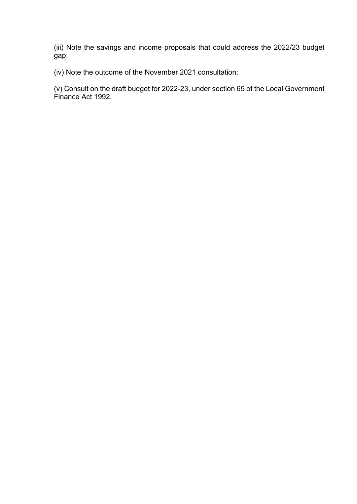(iii) Note the savings and income proposals that could address the 2022/23 budget gap;

(iv) Note the outcome of the November 2021 consultation;

(v) Consult on the draft budget for 2022-23, under section 65 of the Local Government Finance Act 1992.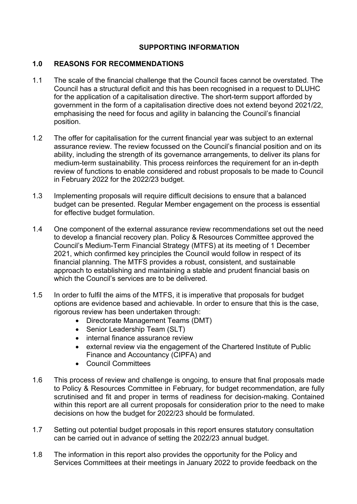# **SUPPORTING INFORMATION**

# **1.0 REASONS FOR RECOMMENDATIONS**

- 1.1 The scale of the financial challenge that the Council faces cannot be overstated. The Council has a structural deficit and this has been recognised in a request to DLUHC for the application of a capitalisation directive. The short-term support afforded by government in the form of a capitalisation directive does not extend beyond 2021/22, emphasising the need for focus and agility in balancing the Council's financial position.
- 1.2 The offer for capitalisation for the current financial year was subject to an external assurance review. The review focussed on the Council's financial position and on its ability, including the strength of its governance arrangements, to deliver its plans for medium-term sustainability. This process reinforces the requirement for an in-depth review of functions to enable considered and robust proposals to be made to Council in February 2022 for the 2022/23 budget.
- 1.3 Implementing proposals will require difficult decisions to ensure that a balanced budget can be presented. Regular Member engagement on the process is essential for effective budget formulation.
- 1.4 One component of the external assurance review recommendations set out the need to develop a financial recovery plan. Policy & Resources Committee approved the Council's Medium-Term Financial Strategy (MTFS) at its meeting of 1 December 2021, which confirmed key principles the Council would follow in respect of its financial planning. The MTFS provides a robust, consistent, and sustainable approach to establishing and maintaining a stable and prudent financial basis on which the Council's services are to be delivered.
- 1.5 In order to fulfil the aims of the MTFS, it is imperative that proposals for budget options are evidence based and achievable. In order to ensure that this is the case, rigorous review has been undertaken through:
	- Directorate Management Teams (DMT)
	- Senior Leadership Team (SLT)
	- internal finance assurance review
	- external review via the engagement of the Chartered Institute of Public Finance and Accountancy (CIPFA) and
	- Council Committees
- 1.6 This process of review and challenge is ongoing, to ensure that final proposals made to Policy & Resources Committee in February, for budget recommendation, are fully scrutinised and fit and proper in terms of readiness for decision-making. Contained within this report are all current proposals for consideration prior to the need to make decisions on how the budget for 2022/23 should be formulated.
- 1.7 Setting out potential budget proposals in this report ensures statutory consultation can be carried out in advance of setting the 2022/23 annual budget.
- 1.8 The information in this report also provides the opportunity for the Policy and Services Committees at their meetings in January 2022 to provide feedback on the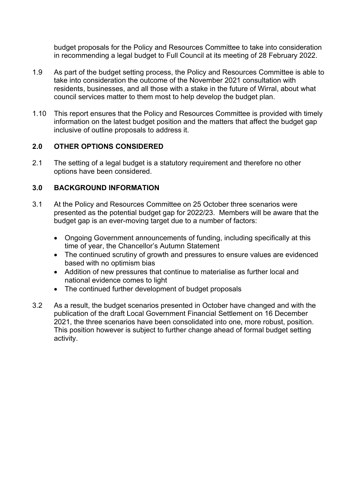budget proposals for the Policy and Resources Committee to take into consideration in recommending a legal budget to Full Council at its meeting of 28 February 2022.

- 1.9 As part of the budget setting process, the Policy and Resources Committee is able to take into consideration the outcome of the November 2021 consultation with residents, businesses, and all those with a stake in the future of Wirral, about what council services matter to them most to help develop the budget plan.
- 1.10 This report ensures that the Policy and Resources Committee is provided with timely information on the latest budget position and the matters that affect the budget gap inclusive of outline proposals to address it.

# **2.0 OTHER OPTIONS CONSIDERED**

2.1 The setting of a legal budget is a statutory requirement and therefore no other options have been considered.

# **3.0 BACKGROUND INFORMATION**

- 3.1 At the Policy and Resources Committee on 25 October three scenarios were presented as the potential budget gap for 2022/23. Members will be aware that the budget gap is an ever-moving target due to a number of factors:
	- Ongoing Government announcements of funding, including specifically at this time of year, the Chancellor's Autumn Statement
	- The continued scrutiny of growth and pressures to ensure values are evidenced based with no optimism bias
	- Addition of new pressures that continue to materialise as further local and national evidence comes to light
	- The continued further development of budget proposals
- 3.2 As a result, the budget scenarios presented in October have changed and with the publication of the draft Local Government Financial Settlement on 16 December 2021, the three scenarios have been consolidated into one, more robust, position. This position however is subject to further change ahead of formal budget setting activity.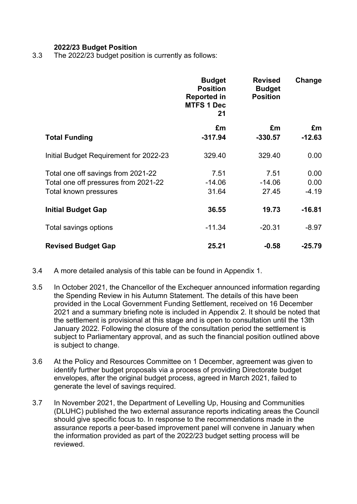# **2022/23 Budget Position**

3.3 The 2022/23 budget position is currently as follows:

|                                        | <b>Budget</b><br><b>Position</b><br><b>Reported in</b><br><b>MTFS 1 Dec</b><br>21 | <b>Revised</b><br><b>Budget</b><br><b>Position</b> | Change   |
|----------------------------------------|-----------------------------------------------------------------------------------|----------------------------------------------------|----------|
|                                        | £m                                                                                | £m                                                 | £m       |
| <b>Total Funding</b>                   | $-317.94$                                                                         | $-330.57$                                          | $-12.63$ |
| Initial Budget Requirement for 2022-23 | 329.40                                                                            | 329.40                                             | 0.00     |
| Total one off savings from 2021-22     | 7.51                                                                              | 7.51                                               | 0.00     |
| Total one off pressures from 2021-22   | $-14.06$                                                                          | $-14.06$                                           | 0.00     |
| Total known pressures                  | 31.64                                                                             | 27.45                                              | $-4.19$  |
| <b>Initial Budget Gap</b>              | 36.55                                                                             | 19.73                                              | $-16.81$ |
| Total savings options                  | $-11.34$                                                                          | $-20.31$                                           | $-8.97$  |
| <b>Revised Budget Gap</b>              | 25.21                                                                             | $-0.58$                                            | $-25.79$ |

- 3.4 A more detailed analysis of this table can be found in Appendix 1.
- 3.5 In October 2021, the Chancellor of the Exchequer announced information regarding the Spending Review in his Autumn Statement. The details of this have been provided in the Local Government Funding Settlement, received on 16 December 2021 and a summary briefing note is included in Appendix 2. It should be noted that the settlement is provisional at this stage and is open to consultation until the 13th January 2022. Following the closure of the consultation period the settlement is subject to Parliamentary approval, and as such the financial position outlined above is subject to change.
- 3.6 At the Policy and Resources Committee on 1 December, agreement was given to identify further budget proposals via a process of providing Directorate budget envelopes, after the original budget process, agreed in March 2021, failed to generate the level of savings required.
- 3.7 In November 2021, the Department of Levelling Up, Housing and Communities (DLUHC) published the two external assurance reports indicating areas the Council should give specific focus to. In response to the recommendations made in the assurance reports a peer-based improvement panel will convene in January when the information provided as part of the 2022/23 budget setting process will be reviewed.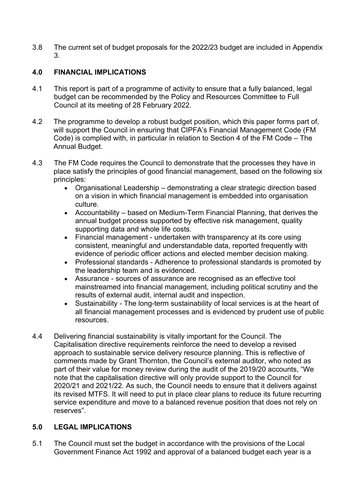3.8 The current set of budget proposals for the 2022/23 budget are included in Appendix 3.

# **4.0 FINANCIAL IMPLICATIONS**

- 4.1 This report is part of a programme of activity to ensure that a fully balanced, legal budget can be recommended by the Policy and Resources Committee to Full Council at its meeting of 28 February 2022.
- 4.2 The programme to develop a robust budget position, which this paper forms part of, will support the Council in ensuring that CIPFA's Financial Management Code (FM Code) is complied with, in particular in relation to Section 4 of the FM Code – The Annual Budget.
- 4.3 The FM Code requires the Council to demonstrate that the processes they have in place satisfy the principles of good financial management, based on the following six principles:
	- Organisational Leadership demonstrating a clear strategic direction based on a vision in which financial management is embedded into organisation culture.
	- Accountability based on Medium-Term Financial Planning, that derives the annual budget process supported by effective risk management, quality supporting data and whole life costs.
	- Financial management undertaken with transparency at its core using consistent, meaningful and understandable data, reported frequently with evidence of periodic officer actions and elected member decision making.
	- Professional standards Adherence to professional standards is promoted by the leadership team and is evidenced.
	- Assurance sources of assurance are recognised as an effective tool mainstreamed into financial management, including political scrutiny and the results of external audit, internal audit and inspection.
	- Sustainability The long-term sustainability of local services is at the heart of all financial management processes and is evidenced by prudent use of public resources.
- 4.4 Delivering financial sustainability is vitally important for the Council. The Capitalisation directive requirements reinforce the need to develop a revised approach to sustainable service delivery resource planning. This is reflective of comments made by Grant Thornton, the Council's external auditor, who noted as part of their value for money review during the audit of the 2019/20 accounts, "We note that the capitalisation directive will only provide support to the Council for 2020/21 and 2021/22. As such, the Council needs to ensure that it delivers against its revised MTFS. It will need to put in place clear plans to reduce its future recurring service expenditure and move to a balanced revenue position that does not rely on reserves".

# **5.0 LEGAL IMPLICATIONS**

5.1 The Council must set the budget in accordance with the provisions of the Local Government Finance Act 1992 and approval of a balanced budget each year is a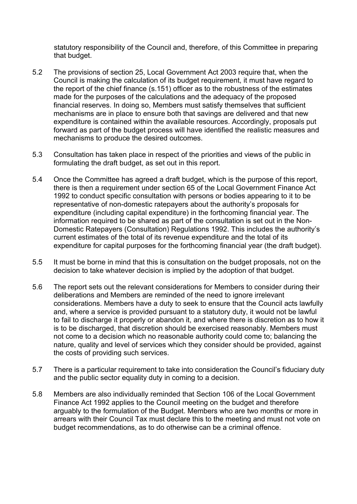statutory responsibility of the Council and, therefore, of this Committee in preparing that budget.

- 5.2 The provisions of section 25, Local Government Act 2003 require that, when the Council is making the calculation of its budget requirement, it must have regard to the report of the chief finance (s.151) officer as to the robustness of the estimates made for the purposes of the calculations and the adequacy of the proposed financial reserves. In doing so, Members must satisfy themselves that sufficient mechanisms are in place to ensure both that savings are delivered and that new expenditure is contained within the available resources. Accordingly, proposals put forward as part of the budget process will have identified the realistic measures and mechanisms to produce the desired outcomes.
- 5.3 Consultation has taken place in respect of the priorities and views of the public in formulating the draft budget, as set out in this report.
- 5.4 Once the Committee has agreed a draft budget, which is the purpose of this report, there is then a requirement under section 65 of the Local Government Finance Act 1992 to conduct specific consultation with persons or bodies appearing to it to be representative of non-domestic ratepayers about the authority's proposals for expenditure (including capital expenditure) in the forthcoming financial year. The information required to be shared as part of the consultation is set out in the Non-Domestic Ratepayers (Consultation) Regulations 1992. This includes the authority's current estimates of the total of its revenue expenditure and the total of its expenditure for capital purposes for the forthcoming financial year (the draft budget).
- 5.5 It must be borne in mind that this is consultation on the budget proposals, not on the decision to take whatever decision is implied by the adoption of that budget.
- 5.6 The report sets out the relevant considerations for Members to consider during their deliberations and Members are reminded of the need to ignore irrelevant considerations. Members have a duty to seek to ensure that the Council acts lawfully and, where a service is provided pursuant to a statutory duty, it would not be lawful to fail to discharge it properly or abandon it, and where there is discretion as to how it is to be discharged, that discretion should be exercised reasonably. Members must not come to a decision which no reasonable authority could come to; balancing the nature, quality and level of services which they consider should be provided, against the costs of providing such services.
- 5.7 There is a particular requirement to take into consideration the Council's fiduciary duty and the public sector equality duty in coming to a decision.
- 5.8 Members are also individually reminded that Section 106 of the Local Government Finance Act 1992 applies to the Council meeting on the budget and therefore arguably to the formulation of the Budget. Members who are two months or more in arrears with their Council Tax must declare this to the meeting and must not vote on budget recommendations, as to do otherwise can be a criminal offence.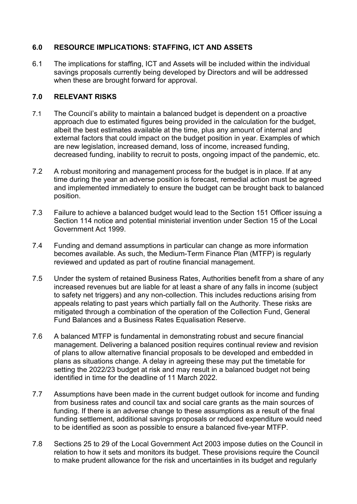# **6.0 RESOURCE IMPLICATIONS: STAFFING, ICT AND ASSETS**

6.1 The implications for staffing, ICT and Assets will be included within the individual savings proposals currently being developed by Directors and will be addressed when these are brought forward for approval.

# **7.0 RELEVANT RISKS**

- 7.1 The Council's ability to maintain a balanced budget is dependent on a proactive approach due to estimated figures being provided in the calculation for the budget, albeit the best estimates available at the time, plus any amount of internal and external factors that could impact on the budget position in year. Examples of which are new legislation, increased demand, loss of income, increased funding, decreased funding, inability to recruit to posts, ongoing impact of the pandemic, etc.
- 7.2 A robust monitoring and management process for the budget is in place. If at any time during the year an adverse position is forecast, remedial action must be agreed and implemented immediately to ensure the budget can be brought back to balanced position.
- 7.3 Failure to achieve a balanced budget would lead to the Section 151 Officer issuing a Section 114 notice and potential ministerial invention under Section 15 of the Local Government Act 1999.
- 7.4 Funding and demand assumptions in particular can change as more information becomes available. As such, the Medium-Term Finance Plan (MTFP) is regularly reviewed and updated as part of routine financial management.
- 7.5 Under the system of retained Business Rates, Authorities benefit from a share of any increased revenues but are liable for at least a share of any falls in income (subject to safety net triggers) and any non-collection. This includes reductions arising from appeals relating to past years which partially fall on the Authority. These risks are mitigated through a combination of the operation of the Collection Fund, General Fund Balances and a Business Rates Equalisation Reserve.
- 7.6 A balanced MTFP is fundamental in demonstrating robust and secure financial management. Delivering a balanced position requires continual review and revision of plans to allow alternative financial proposals to be developed and embedded in plans as situations change. A delay in agreeing these may put the timetable for setting the 2022/23 budget at risk and may result in a balanced budget not being identified in time for the deadline of 11 March 2022.
- 7.7 Assumptions have been made in the current budget outlook for income and funding from business rates and council tax and social care grants as the main sources of funding. If there is an adverse change to these assumptions as a result of the final funding settlement, additional savings proposals or reduced expenditure would need to be identified as soon as possible to ensure a balanced five-year MTFP.
- 7.8 Sections 25 to 29 of the Local Government Act 2003 impose duties on the Council in relation to how it sets and monitors its budget. These provisions require the Council to make prudent allowance for the risk and uncertainties in its budget and regularly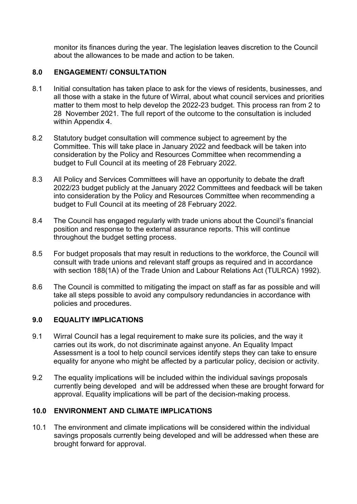monitor its finances during the year. The legislation leaves discretion to the Council about the allowances to be made and action to be taken.

# **8.0 ENGAGEMENT/ CONSULTATION**

- 8.1 Initial consultation has taken place to ask for the views of residents, businesses, and all those with a stake in the future of Wirral, about what council services and priorities matter to them most to help develop the 2022-23 budget. This process ran from 2 to 28 November 2021. The full report of the outcome to the consultation is included within Appendix 4.
- 8.2 Statutory budget consultation will commence subject to agreement by the Committee. This will take place in January 2022 and feedback will be taken into consideration by the Policy and Resources Committee when recommending a budget to Full Council at its meeting of 28 February 2022.
- 8.3 All Policy and Services Committees will have an opportunity to debate the draft 2022/23 budget publicly at the January 2022 Committees and feedback will be taken into consideration by the Policy and Resources Committee when recommending a budget to Full Council at its meeting of 28 February 2022.
- 8.4 The Council has engaged regularly with trade unions about the Council's financial position and response to the external assurance reports. This will continue throughout the budget setting process.
- 8.5 For budget proposals that may result in reductions to the workforce, the Council will consult with trade unions and relevant staff groups as required and in accordance with section 188(1A) of the Trade Union and Labour Relations Act [\(TULRCA\)](http://www.legislation.gov.uk/ukpga/1992/52/section/188) 1992).
- 8.6 The Council is committed to mitigating the impact on staff as far as possible and will take all steps possible to avoid any compulsory redundancies in accordance with policies and procedures.

## **9.0 EQUALITY IMPLICATIONS**

- 9.1 Wirral Council has a legal requirement to make sure its policies, and the way it carries out its work, do not discriminate against anyone. An Equality Impact Assessment is a tool to help council services identify steps they can take to ensure equality for anyone who might be affected by a particular policy, decision or activity.
- 9.2 The equality implications will be included within the individual savings proposals currently being developed and will be addressed when these are brought forward for approval. Equality implications will be part of the decision-making process.

# **10.0 ENVIRONMENT AND CLIMATE IMPLICATIONS**

10.1 The environment and climate implications will be considered within the individual savings proposals currently being developed and will be addressed when these are brought forward for approval.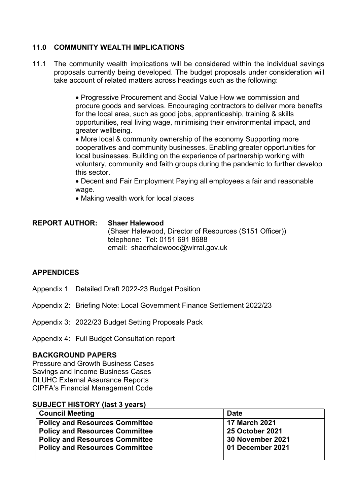# **11.0 COMMUNITY WEALTH IMPLICATIONS**

11.1 The community wealth implications will be considered within the individual savings proposals currently being developed. The budget proposals under consideration will take account of related matters across headings such as the following:

> Progressive Procurement and Social Value How we commission and procure goods and services. Encouraging contractors to deliver more benefits for the local area, such as good jobs, apprenticeship, training & skills opportunities, real living wage, minimising their environmental impact, and greater wellbeing.

> • More local & community ownership of the economy Supporting more cooperatives and community businesses. Enabling greater opportunities for local businesses. Building on the experience of partnership working with voluntary, community and faith groups during the pandemic to further develop this sector.

 Decent and Fair Employment Paying all employees a fair and reasonable wage.

• Making wealth work for local places

| REPORT AUTHOR: | <b>Shaer Halewood</b><br>(Shaer Halewood, Director of Resources (S151 Officer))<br>telephone: Tel: 0151 691 8688<br>email: shaerhalewood@wirral.gov.uk |
|----------------|--------------------------------------------------------------------------------------------------------------------------------------------------------|
|                |                                                                                                                                                        |

## **APPENDICES**

- Appendix 1 Detailed Draft 2022-23 Budget Position
- Appendix 2: Briefing Note: Local Government Finance Settlement 2022/23
- Appendix 3: 2022/23 Budget Setting Proposals Pack

Appendix 4: Full Budget Consultation report

#### **BACKGROUND PAPERS**

Pressure and Growth Business Cases Savings and Income Business Cases DLUHC External Assurance Reports CIPFA's Financial Management Code

#### **SUBJECT HISTORY (last 3 years)**

| <b>Council Meeting</b>                | <b>Date</b>            |
|---------------------------------------|------------------------|
| <b>Policy and Resources Committee</b> | <b>17 March 2021</b>   |
| <b>Policy and Resources Committee</b> | <b>25 October 2021</b> |
| <b>Policy and Resources Committee</b> | 30 November 2021       |
| <b>Policy and Resources Committee</b> | 01 December 2021       |
|                                       |                        |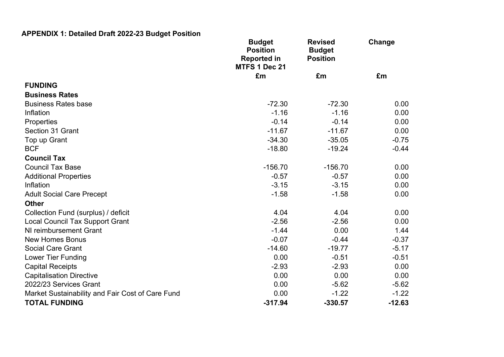# **APPENDIX 1: Detailed Draft 2022-23 Budget Position**

|                                                  | <b>Budget</b><br><b>Position</b><br><b>Reported in</b><br>MTFS 1 Dec 21 | <b>Revised</b><br><b>Budget</b><br><b>Position</b> | Change   |  |
|--------------------------------------------------|-------------------------------------------------------------------------|----------------------------------------------------|----------|--|
|                                                  | £m                                                                      | £m                                                 | £m       |  |
| <b>FUNDING</b>                                   |                                                                         |                                                    |          |  |
| <b>Business Rates</b>                            |                                                                         |                                                    |          |  |
| <b>Business Rates base</b>                       | $-72.30$                                                                | $-72.30$                                           | 0.00     |  |
| Inflation                                        | $-1.16$                                                                 | $-1.16$                                            | 0.00     |  |
| Properties                                       | $-0.14$                                                                 | $-0.14$                                            | 0.00     |  |
| Section 31 Grant                                 | $-11.67$                                                                | $-11.67$                                           | 0.00     |  |
| Top up Grant                                     | $-34.30$                                                                | $-35.05$                                           | $-0.75$  |  |
| <b>BCF</b>                                       | $-18.80$                                                                | $-19.24$                                           | $-0.44$  |  |
| <b>Council Tax</b>                               |                                                                         |                                                    |          |  |
| <b>Council Tax Base</b>                          | $-156.70$                                                               | $-156.70$                                          | 0.00     |  |
| <b>Additional Properties</b>                     | $-0.57$                                                                 | $-0.57$                                            | 0.00     |  |
| Inflation                                        | $-3.15$                                                                 | $-3.15$                                            | 0.00     |  |
| <b>Adult Social Care Precept</b>                 | $-1.58$                                                                 | $-1.58$                                            | 0.00     |  |
| <b>Other</b>                                     |                                                                         |                                                    |          |  |
| Collection Fund (surplus) / deficit              | 4.04                                                                    | 4.04                                               | 0.00     |  |
| <b>Local Council Tax Support Grant</b>           | $-2.56$                                                                 | $-2.56$                                            | 0.00     |  |
| NI reimbursement Grant                           | $-1.44$                                                                 | 0.00                                               | 1.44     |  |
| <b>New Homes Bonus</b>                           | $-0.07$                                                                 | $-0.44$                                            | $-0.37$  |  |
| <b>Social Care Grant</b>                         | $-14.60$                                                                | $-19.77$                                           | $-5.17$  |  |
| Lower Tier Funding                               | 0.00                                                                    | $-0.51$                                            | $-0.51$  |  |
| <b>Capital Receipts</b>                          | $-2.93$                                                                 | $-2.93$                                            | 0.00     |  |
| <b>Capitalisation Directive</b>                  | 0.00                                                                    | 0.00                                               | 0.00     |  |
| 2022/23 Services Grant                           | 0.00                                                                    | $-5.62$                                            | $-5.62$  |  |
| Market Sustainability and Fair Cost of Care Fund | 0.00                                                                    | $-1.22$                                            | $-1.22$  |  |
| <b>TOTAL FUNDING</b>                             | $-317.94$                                                               | $-330.57$                                          | $-12.63$ |  |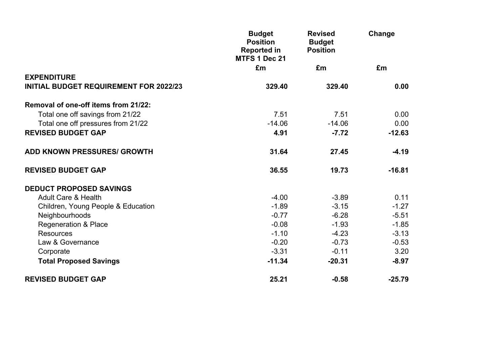|                                               | <b>Budget</b><br><b>Position</b><br><b>Reported in</b><br>MTFS 1 Dec 21 | <b>Revised</b><br><b>Budget</b><br><b>Position</b> | Change   |
|-----------------------------------------------|-------------------------------------------------------------------------|----------------------------------------------------|----------|
|                                               | £m                                                                      | £m                                                 | £m       |
| <b>EXPENDITURE</b>                            |                                                                         |                                                    |          |
| <b>INITIAL BUDGET REQUIREMENT FOR 2022/23</b> | 329.40                                                                  | 329.40                                             | 0.00     |
| Removal of one-off items from 21/22:          |                                                                         |                                                    |          |
| Total one off savings from 21/22              | 7.51                                                                    | 7.51                                               | 0.00     |
| Total one off pressures from 21/22            | $-14.06$                                                                | $-14.06$                                           | 0.00     |
| <b>REVISED BUDGET GAP</b>                     | 4.91                                                                    | $-7.72$                                            | $-12.63$ |
| <b>ADD KNOWN PRESSURES/ GROWTH</b>            | 31.64                                                                   | 27.45                                              | $-4.19$  |
| <b>REVISED BUDGET GAP</b>                     | 36.55                                                                   | 19.73                                              | $-16.81$ |
| <b>DEDUCT PROPOSED SAVINGS</b>                |                                                                         |                                                    |          |
| <b>Adult Care &amp; Health</b>                | $-4.00$                                                                 | $-3.89$                                            | 0.11     |
| Children, Young People & Education            | $-1.89$                                                                 | $-3.15$                                            | $-1.27$  |
| Neighbourhoods                                | $-0.77$                                                                 | $-6.28$                                            | $-5.51$  |
| <b>Regeneration &amp; Place</b>               | $-0.08$                                                                 | $-1.93$                                            | $-1.85$  |
| <b>Resources</b>                              | $-1.10$                                                                 | $-4.23$                                            | $-3.13$  |
| Law & Governance                              | $-0.20$                                                                 | $-0.73$                                            | $-0.53$  |
| Corporate                                     | $-3.31$                                                                 | $-0.11$                                            | 3.20     |
| <b>Total Proposed Savings</b>                 | $-11.34$                                                                | $-20.31$                                           | $-8.97$  |
| <b>REVISED BUDGET GAP</b>                     | 25.21                                                                   | $-0.58$                                            | $-25.79$ |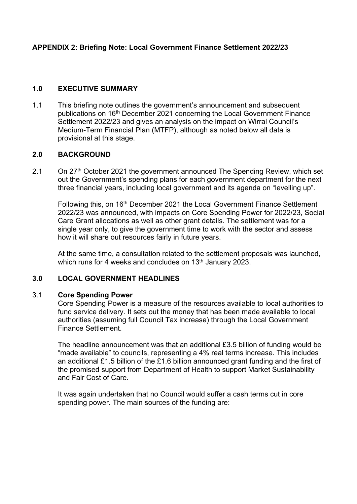# **APPENDIX 2: Briefing Note: Local Government Finance Settlement 2022/23**

## **1.0 EXECUTIVE SUMMARY**

1.1 This briefing note outlines the government's announcement and subsequent publications on 16<sup>th</sup> December 2021 concerning the Local Government Finance Settlement 2022/23 and gives an analysis on the impact on Wirral Council's Medium-Term Financial Plan (MTFP), although as noted below all data is provisional at this stage.

# **2.0 BACKGROUND**

2.1 On 27<sup>th</sup> October 2021 the government announced The Spending Review, which set out the Government's spending plans for each government department for the next three financial years, including local government and its agenda on "levelling up".

Following this, on 16<sup>th</sup> December 2021 the Local Government Finance Settlement 2022/23 was announced, with impacts on Core Spending Power for 2022/23, Social Care Grant allocations as well as other grant details. The settlement was for a single year only, to give the government time to work with the sector and assess how it will share out resources fairly in future years.

At the same time, a consultation related to the settlement proposals was launched, which runs for 4 weeks and concludes on 13<sup>th</sup> January 2023.

#### **3.0 LOCAL GOVERNMENT HEADLINES**

#### 3.1 **Core Spending Power**

Core Spending Power is a measure of the resources available to local authorities to fund service delivery. It sets out the money that has been made available to local authorities (assuming full Council Tax increase) through the Local Government Finance Settlement.

The headline announcement was that an additional £3.5 billion of funding would be "made available" to councils, representing a 4% real terms increase. This includes an additional £1.5 billion of the £1.6 billion announced grant funding and the first of the promised support from Department of Health to support Market Sustainability and Fair Cost of Care.

It was again undertaken that no Council would suffer a cash terms cut in core spending power. The main sources of the funding are: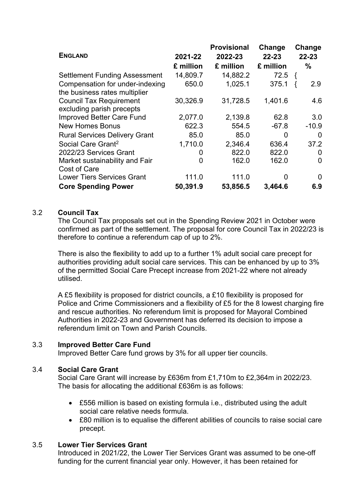|                                                                  |           | <b>Provisional</b> | Change    | Change    |
|------------------------------------------------------------------|-----------|--------------------|-----------|-----------|
| <b>ENGLAND</b>                                                   | 2021-22   | 2022-23            | $22 - 23$ | $22 - 23$ |
|                                                                  | £ million | £ million          | £ million | $\%$      |
| <b>Settlement Funding Assessment</b>                             | 14,809.7  | 14,882.2           | 72.5      |           |
| Compensation for under-indexing<br>the business rates multiplier | 650.0     | 1,025.1            | 375.1     | 2.9       |
| <b>Council Tax Requirement</b><br>excluding parish precepts      | 30,326.9  | 31,728.5           | 1,401.6   | 4.6       |
| Improved Better Care Fund                                        | 2,077.0   | 2,139.8            | 62.8      | 3.0       |
| <b>New Homes Bonus</b>                                           | 622.3     | 554.5              | $-67.8$   | $-10.9$   |
| <b>Rural Services Delivery Grant</b>                             | 85.0      | 85.0               | 0         | 0         |
| Social Care Grant <sup>2</sup>                                   | 1,710.0   | 2,346.4            | 636.4     | 37.2      |
| 2022/23 Services Grant                                           | 0         | 822.0              | 822.0     | 0         |
| Market sustainability and Fair<br>Cost of Care                   | 0         | 162.0              | 162.0     | 0         |
| <b>Lower Tiers Services Grant</b>                                | 111.0     | 111.0              | 0         | 0         |
| <b>Core Spending Power</b>                                       | 50,391.9  | 53,856.5           | 3,464.6   | 6.9       |

## 3.2 **Council Tax**

The Council Tax proposals set out in the Spending Review 2021 in October were confirmed as part of the settlement. The proposal for core Council Tax in 2022/23 is therefore to continue a referendum cap of up to 2%.

There is also the flexibility to add up to a further 1% adult social care precept for authorities providing adult social care services. This can be enhanced by up to 3% of the permitted Social Care Precept increase from 2021-22 where not already utilised.

A £5 flexibility is proposed for district councils, a £10 flexibility is proposed for Police and Crime Commissioners and a flexibility of £5 for the 8 lowest charging fire and rescue authorities. No referendum limit is proposed for Mayoral Combined Authorities in 2022-23 and Government has deferred its decision to impose a referendum limit on Town and Parish Councils.

#### 3.3 **Improved Better Care Fund**

Improved Better Care fund grows by 3% for all upper tier councils.

## 3.4 **Social Care Grant**

Social Care Grant will increase by £636m from £1,710m to £2,364m in 2022/23. The basis for allocating the additional £636m is as follows:

- £556 million is based on existing formula i.e., distributed using the adult social care relative needs formula.
- £80 million is to equalise the different abilities of councils to raise social care precept.

## 3.5 **Lower Tier Services Grant**

Introduced in 2021/22, the Lower Tier Services Grant was assumed to be one-off funding for the current financial year only. However, it has been retained for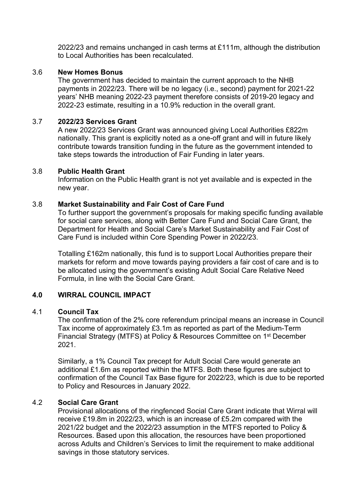2022/23 and remains unchanged in cash terms at £111m, although the distribution to Local Authorities has been recalculated.

## 3.6 **New Homes Bonus**

The government has decided to maintain the current approach to the NHB payments in 2022/23. There will be no legacy (i.e., second) payment for 2021-22 years' NHB meaning 2022-23 payment therefore consists of 2019-20 legacy and 2022-23 estimate, resulting in a 10.9% reduction in the overall grant.

#### 3.7 **2022/23 Services Grant**

A new 2022/23 Services Grant was announced giving Local Authorities £822m nationally. This grant is explicitly noted as a one-off grant and will in future likely contribute towards transition funding in the future as the government intended to take steps towards the introduction of Fair Funding in later years.

#### 3.8 **Public Health Grant**

Information on the Public Health grant is not yet available and is expected in the new year.

#### 3.8 **Market Sustainability and Fair Cost of Care Fund**

To further support the government's proposals for making specific funding available for social care services, along with Better Care Fund and Social Care Grant, the Department for Health and Social Care's Market Sustainability and Fair Cost of Care Fund is included within Core Spending Power in 2022/23.

Totalling £162m nationally, this fund is to support Local Authorities prepare their markets for reform and move towards paying providers a fair cost of care and is to be allocated using the government's existing Adult Social Care Relative Need Formula, in line with the Social Care Grant.

## **4.0 WIRRAL COUNCIL IMPACT**

#### 4.1 **Council Tax**

The confirmation of the 2% core referendum principal means an increase in Council Tax income of approximately £3.1m as reported as part of the Medium-Term Financial Strategy (MTFS) at Policy & Resources Committee on 1<sup>st</sup> December 2021.

Similarly, a 1% Council Tax precept for Adult Social Care would generate an additional £1.6m as reported within the MTFS. Both these figures are subject to confirmation of the Council Tax Base figure for 2022/23, which is due to be reported to Policy and Resources in January 2022.

## 4.2 **Social Care Grant**

Provisional allocations of the ringfenced Social Care Grant indicate that Wirral will receive £19.8m in 2022/23, which is an increase of £5.2m compared with the 2021/22 budget and the 2022/23 assumption in the MTFS reported to Policy & Resources. Based upon this allocation, the resources have been proportioned across Adults and Children's Services to limit the requirement to make additional savings in those statutory services.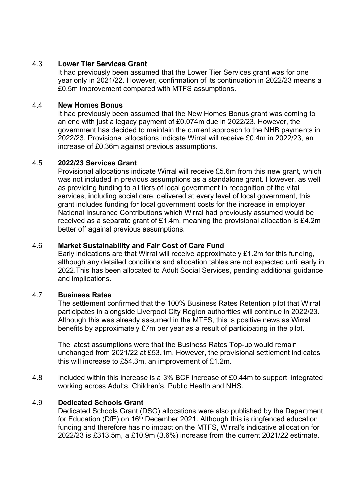## 4.3 **Lower Tier Services Grant**

It had previously been assumed that the Lower Tier Services grant was for one year only in 2021/22. However, confirmation of its continuation in 2022/23 means a £0.5m improvement compared with MTFS assumptions.

# 4.4 **New Homes Bonus**

It had previously been assumed that the New Homes Bonus grant was coming to an end with just a legacy payment of £0.074m due in 2022/23. However, the government has decided to maintain the current approach to the NHB payments in 2022/23. Provisional allocations indicate Wirral will receive £0.4m in 2022/23, an increase of £0.36m against previous assumptions.

# 4.5 **2022/23 Services Grant**

Provisional allocations indicate Wirral will receive £5.6m from this new grant, which was not included in previous assumptions as a standalone grant. However, as well as providing funding to all tiers of local government in recognition of the vital services, including social care, delivered at every level of local government, this grant includes funding for local government costs for the increase in employer National Insurance Contributions which Wirral had previously assumed would be received as a separate grant of £1.4m, meaning the provisional allocation is £4.2m better off against previous assumptions.

# 4.6 **Market Sustainability and Fair Cost of Care Fund**

Early indications are that Wirral will receive approximately £1.2m for this funding, although any detailed conditions and allocation tables are not expected until early in 2022.This has been allocated to Adult Social Services, pending additional guidance and implications.

## 4.7 **Business Rates**

The settlement confirmed that the 100% Business Rates Retention pilot that Wirral participates in alongside Liverpool City Region authorities will continue in 2022/23. Although this was already assumed in the MTFS, this is positive news as Wirral benefits by approximately £7m per year as a result of participating in the pilot.

The latest assumptions were that the Business Rates Top-up would remain unchanged from 2021/22 at £53.1m. However, the provisional settlement indicates this will increase to £54.3m, an improvement of £1.2m.

4.8 Included within this increase is a 3% BCF increase of £0.44m to support integrated working across Adults, Children's, Public Health and NHS.

# 4.9 **Dedicated Schools Grant**

Dedicated Schools Grant (DSG) allocations were also published by the Department for Education (DfE) on  $16<sup>th</sup>$  December 2021. Although this is ringfenced education funding and therefore has no impact on the MTFS, Wirral's indicative allocation for 2022/23 is £313.5m, a £10.9m (3.6%) increase from the current 2021/22 estimate.